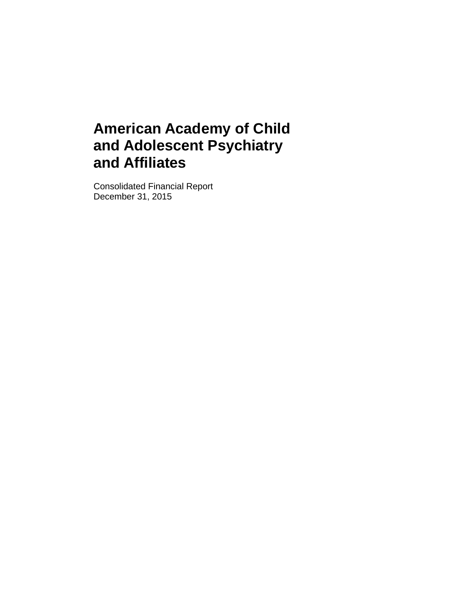Consolidated Financial Report December 31, 2015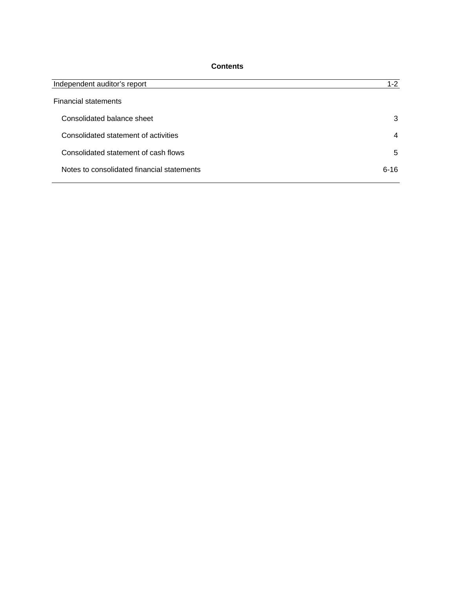# **Contents**

| Independent auditor's report               | $1 - 2$        |
|--------------------------------------------|----------------|
| <b>Financial statements</b>                |                |
| Consolidated balance sheet                 | 3              |
| Consolidated statement of activities       | $\overline{4}$ |
| Consolidated statement of cash flows       | 5              |
| Notes to consolidated financial statements | $6 - 16$       |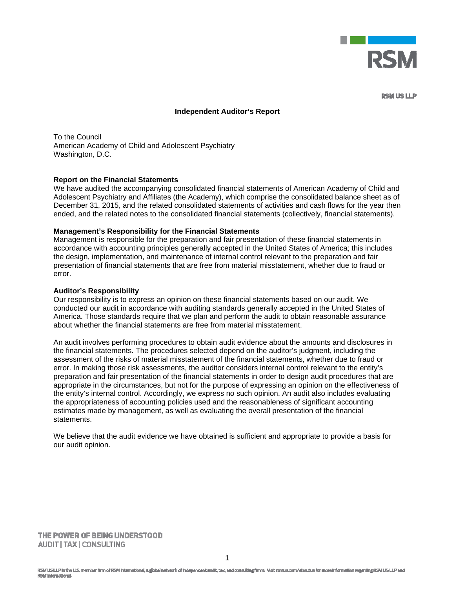

**RSM US LLP** 

#### **Independent Auditor's Report**

To the Council American Academy of Child and Adolescent Psychiatry Washington, D.C.

#### **Report on the Financial Statements**

We have audited the accompanying consolidated financial statements of American Academy of Child and Adolescent Psychiatry and Affiliates (the Academy), which comprise the consolidated balance sheet as of December 31, 2015, and the related consolidated statements of activities and cash flows for the year then ended, and the related notes to the consolidated financial statements (collectively, financial statements).

#### **Management's Responsibility for the Financial Statements**

Management is responsible for the preparation and fair presentation of these financial statements in accordance with accounting principles generally accepted in the United States of America; this includes the design, implementation, and maintenance of internal control relevant to the preparation and fair presentation of financial statements that are free from material misstatement, whether due to fraud or error.

#### **Auditor's Responsibility**

Our responsibility is to express an opinion on these financial statements based on our audit. We conducted our audit in accordance with auditing standards generally accepted in the United States of America. Those standards require that we plan and perform the audit to obtain reasonable assurance about whether the financial statements are free from material misstatement.

An audit involves performing procedures to obtain audit evidence about the amounts and disclosures in the financial statements. The procedures selected depend on the auditor's judgment, including the assessment of the risks of material misstatement of the financial statements, whether due to fraud or error. In making those risk assessments, the auditor considers internal control relevant to the entity's preparation and fair presentation of the financial statements in order to design audit procedures that are appropriate in the circumstances, but not for the purpose of expressing an opinion on the effectiveness of the entity's internal control. Accordingly, we express no such opinion. An audit also includes evaluating the appropriateness of accounting policies used and the reasonableness of significant accounting estimates made by management, as well as evaluating the overall presentation of the financial statements.

We believe that the audit evidence we have obtained is sufficient and appropriate to provide a basis for our audit opinion.

THE POWER OF BEING UNDERSTOOD **AUDIT | TAX | CONSULTING**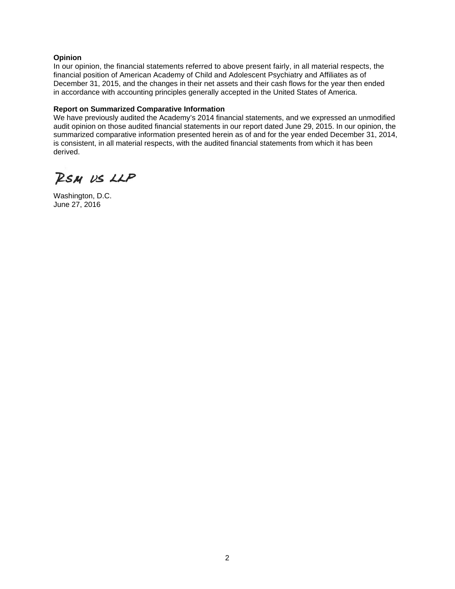#### **Opinion**

In our opinion, the financial statements referred to above present fairly, in all material respects, the financial position of American Academy of Child and Adolescent Psychiatry and Affiliates as of December 31, 2015, and the changes in their net assets and their cash flows for the year then ended in accordance with accounting principles generally accepted in the United States of America.

#### **Report on Summarized Comparative Information**

We have previously audited the Academy's 2014 financial statements, and we expressed an unmodified audit opinion on those audited financial statements in our report dated June 29, 2015. In our opinion, the summarized comparative information presented herein as of and for the year ended December 31, 2014, is consistent, in all material respects, with the audited financial statements from which it has been derived.

RSM US LLP

Washington, D.C. June 27, 2016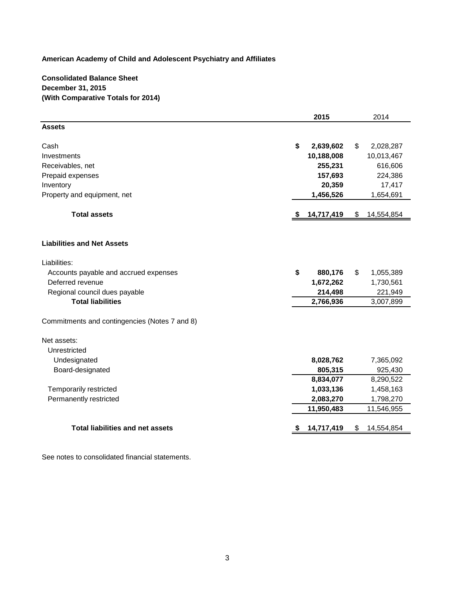# **Consolidated Balance Sheet December 31, 2015 (With Comparative Totals for 2014)**

|                                               | 2015            |    | 2014       |
|-----------------------------------------------|-----------------|----|------------|
| <b>Assets</b>                                 |                 |    |            |
| Cash                                          | \$<br>2,639,602 | \$ | 2,028,287  |
| Investments                                   | 10,188,008      |    | 10,013,467 |
| Receivables, net                              | 255,231         |    | 616,606    |
| Prepaid expenses                              | 157,693         |    | 224,386    |
| Inventory                                     | 20,359          |    | 17,417     |
| Property and equipment, net                   | 1,456,526       |    | 1,654,691  |
| <b>Total assets</b>                           | 14,717,419      | \$ | 14,554,854 |
| <b>Liabilities and Net Assets</b>             |                 |    |            |
| Liabilities:                                  |                 |    |            |
| Accounts payable and accrued expenses         | \$<br>880,176   | \$ | 1,055,389  |
| Deferred revenue                              | 1,672,262       |    | 1,730,561  |
| Regional council dues payable                 | 214,498         |    | 221,949    |
| <b>Total liabilities</b>                      | 2,766,936       |    | 3,007,899  |
| Commitments and contingencies (Notes 7 and 8) |                 |    |            |
| Net assets:                                   |                 |    |            |
| Unrestricted                                  |                 |    |            |
| Undesignated                                  | 8,028,762       |    | 7,365,092  |
| Board-designated                              | 805,315         |    | 925,430    |
|                                               | 8,834,077       |    | 8,290,522  |
| Temporarily restricted                        | 1,033,136       |    | 1,458,163  |
| Permanently restricted                        | 2,083,270       |    | 1,798,270  |
|                                               | 11,950,483      |    | 11,546,955 |
| <b>Total liabilities and net assets</b>       | 14,717,419      | S  | 14,554,854 |
|                                               |                 |    |            |

See notes to consolidated financial statements.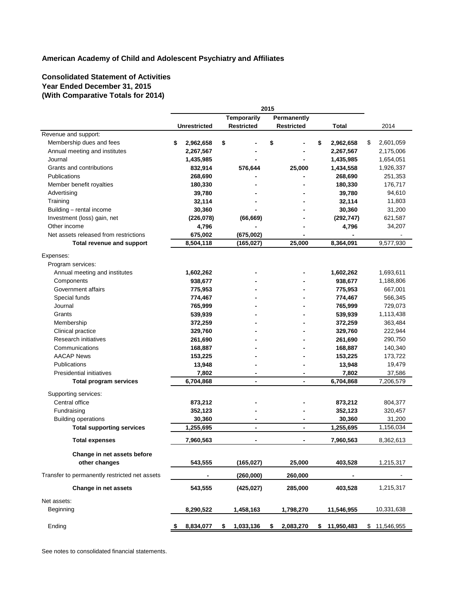# **Consolidated Statement of Activities Year Ended December 31, 2015 (With Comparative Totals for 2014)**

| 2015                                          |    |                                   |    |                   |    |                   |    |            |    |              |
|-----------------------------------------------|----|-----------------------------------|----|-------------------|----|-------------------|----|------------|----|--------------|
|                                               |    | <b>Temporarily</b><br>Permanently |    |                   |    |                   |    |            |    |              |
|                                               |    | <b>Unrestricted</b>               |    | <b>Restricted</b> |    | <b>Restricted</b> |    | Total      |    | 2014         |
| Revenue and support:                          |    |                                   |    |                   |    |                   |    |            |    |              |
| Membership dues and fees                      | \$ | 2,962,658                         | \$ |                   | \$ |                   | \$ | 2,962,658  | \$ | 2,601,059    |
| Annual meeting and institutes                 |    | 2,267,567                         |    |                   |    |                   |    | 2,267,567  |    | 2,175,006    |
| Journal                                       |    | 1,435,985                         |    |                   |    |                   |    | 1,435,985  |    | 1,654,051    |
| Grants and contributions                      |    | 832,914                           |    | 576,644           |    | 25,000            |    | 1,434,558  |    | 1,926,337    |
| Publications                                  |    | 268,690                           |    |                   |    |                   |    | 268,690    |    | 251,353      |
| Member benefit royalties                      |    | 180,330                           |    |                   |    |                   |    | 180,330    |    | 176,717      |
| Advertising                                   |    | 39,780                            |    |                   |    |                   |    | 39,780     |    | 94,610       |
| Training                                      |    | 32,114                            |    |                   |    |                   |    | 32,114     |    | 11,803       |
| Building - rental income                      |    | 30,360                            |    |                   |    |                   |    | 30,360     |    | 31,200       |
| Investment (loss) gain, net                   |    | (226, 078)                        |    | (66, 669)         |    |                   |    | (292, 747) |    | 621,587      |
| Other income                                  |    | 4,796                             |    |                   |    |                   |    | 4,796      |    | 34,207       |
| Net assets released from restrictions         |    | 675,002                           |    | (675,002)         |    |                   |    |            |    |              |
| Total revenue and support                     |    | 8,504,118                         |    | (165, 027)        |    | 25,000            |    | 8,364,091  |    | 9,577,930    |
| Expenses:                                     |    |                                   |    |                   |    |                   |    |            |    |              |
| Program services:                             |    |                                   |    |                   |    |                   |    |            |    |              |
| Annual meeting and institutes                 |    | 1,602,262                         |    |                   |    |                   |    | 1,602,262  |    | 1,693,611    |
| Components                                    |    | 938,677                           |    |                   |    |                   |    | 938,677    |    | 1,188,806    |
| Government affairs                            |    | 775,953                           |    |                   |    |                   |    | 775,953    |    | 667,001      |
| Special funds                                 |    | 774,467                           |    |                   |    |                   |    | 774,467    |    | 566,345      |
| Journal                                       |    | 765,999                           |    |                   |    |                   |    | 765,999    |    | 729,073      |
| Grants                                        |    | 539,939                           |    |                   |    |                   |    | 539,939    |    | 1,113,438    |
| Membership                                    |    | 372,259                           |    |                   |    |                   |    | 372,259    |    | 363,484      |
| Clinical practice                             |    | 329,760                           |    |                   |    |                   |    | 329,760    |    | 222,944      |
| <b>Research initiatives</b>                   |    | 261,690                           |    |                   |    |                   |    | 261,690    |    | 290,750      |
| Communications                                |    | 168,887                           |    |                   |    |                   |    | 168,887    |    | 140,340      |
| <b>AACAP News</b>                             |    | 153,225                           |    |                   |    |                   |    | 153,225    |    | 173,722      |
| <b>Publications</b>                           |    | 13,948                            |    |                   |    |                   |    | 13,948     |    | 19,479       |
| <b>Presidential initiatives</b>               |    | 7,802                             |    |                   |    |                   |    | 7,802      |    | 37,586       |
| <b>Total program services</b>                 |    | 6,704,868                         |    | $\blacksquare$    |    | $\blacksquare$    |    | 6,704,868  |    | 7,206,579    |
| Supporting services:                          |    |                                   |    |                   |    |                   |    |            |    |              |
| Central office                                |    | 873,212                           |    |                   |    |                   |    | 873,212    |    | 804,377      |
| Fundraising                                   |    | 352,123                           |    |                   |    |                   |    | 352,123    |    | 320,457      |
| <b>Building operations</b>                    |    | 30,360                            |    | $\blacksquare$    |    |                   |    | 30,360     |    | 31,200       |
| <b>Total supporting services</b>              |    | 1,255,695                         |    |                   |    |                   |    | 1,255,695  |    | 1,156,034    |
|                                               |    |                                   |    |                   |    |                   |    |            |    |              |
| <b>Total expenses</b>                         |    | 7,960,563                         |    |                   |    |                   |    | 7,960,563  |    | 8,362,613    |
| Change in net assets before                   |    |                                   |    |                   |    |                   |    |            |    |              |
| other changes                                 |    | 543,555                           |    | (165, 027)        |    | 25,000            |    | 403,528    |    | 1,215,317    |
| Transfer to permanently restricted net assets |    |                                   |    | (260,000)         |    | 260,000           |    | -          |    |              |
| Change in net assets                          |    | 543,555                           |    | (425, 027)        |    | 285,000           |    | 403,528    |    | 1,215,317    |
| Net assets:                                   |    |                                   |    |                   |    |                   |    |            |    |              |
| Beginning                                     |    | 8,290,522                         |    | 1,458,163         |    | 1,798,270         |    | 11,546,955 |    | 10,331,638   |
|                                               |    |                                   |    |                   |    |                   |    |            |    |              |
| Ending                                        |    | 8,834,077                         |    | 1,033,136         | \$ | 2,083,270         |    | 11,950,483 |    | \$11,546,955 |

See notes to consolidated financial statements.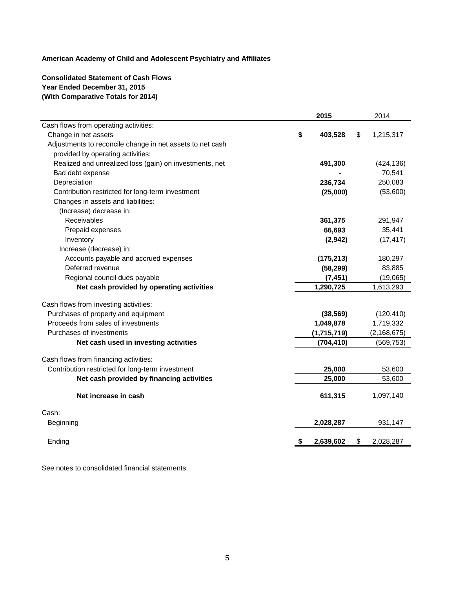# **Consolidated Statement of Cash Flows Year Ended December 31, 2015 (With Comparative Totals for 2014)**

|                                                           |    | 2014        |                 |  |
|-----------------------------------------------------------|----|-------------|-----------------|--|
| Cash flows from operating activities:                     |    |             |                 |  |
| Change in net assets                                      | \$ | 403,528     | \$<br>1,215,317 |  |
| Adjustments to reconcile change in net assets to net cash |    |             |                 |  |
| provided by operating activities:                         |    |             |                 |  |
| Realized and unrealized loss (gain) on investments, net   |    | 491,300     | (424, 136)      |  |
| Bad debt expense                                          |    |             | 70,541          |  |
| Depreciation                                              |    | 236,734     | 250,083         |  |
| Contribution restricted for long-term investment          |    | (25,000)    | (53,600)        |  |
| Changes in assets and liabilities:                        |    |             |                 |  |
| (Increase) decrease in:                                   |    |             |                 |  |
| Receivables                                               |    | 361,375     | 291,947         |  |
| Prepaid expenses                                          |    | 66,693      | 35,441          |  |
| Inventory                                                 |    | (2,942)     | (17, 417)       |  |
| Increase (decrease) in:                                   |    |             |                 |  |
| Accounts payable and accrued expenses                     |    | (175, 213)  | 180,297         |  |
| Deferred revenue                                          |    | (58, 299)   | 83,885          |  |
| Regional council dues payable                             |    | (7, 451)    | (19,065)        |  |
| Net cash provided by operating activities                 |    | 1,290,725   | 1,613,293       |  |
| Cash flows from investing activities:                     |    |             |                 |  |
| Purchases of property and equipment                       |    | (38, 569)   | (120, 410)      |  |
| Proceeds from sales of investments                        |    | 1,049,878   | 1,719,332       |  |
| Purchases of investments                                  |    | (1,715,719) | (2, 168, 675)   |  |
| Net cash used in investing activities                     |    | (704, 410)  | (569, 753)      |  |
| Cash flows from financing activities:                     |    |             |                 |  |
| Contribution restricted for long-term investment          |    | 25,000      | 53,600          |  |
| Net cash provided by financing activities                 |    | 25,000      | 53,600          |  |
|                                                           |    |             |                 |  |
| Net increase in cash                                      |    | 611,315     | 1,097,140       |  |
| Cash:                                                     |    |             |                 |  |
| Beginning                                                 |    | 2,028,287   | 931,147         |  |
| Ending                                                    | -5 | 2,639,602   | \$<br>2,028,287 |  |

See notes to consolidated financial statements.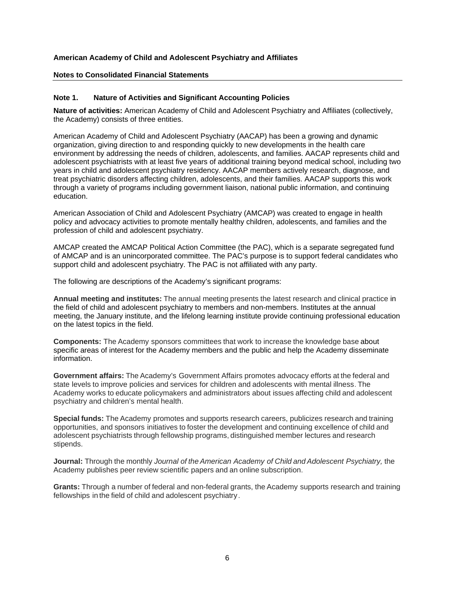#### **Notes to Consolidated Financial Statements**

#### **Note 1. Nature of Activities and Significant Accounting Policies**

**Nature of activities:** American Academy of Child and Adolescent Psychiatry and Affiliates (collectively, the Academy) consists of three entities.

American Academy of Child and Adolescent Psychiatry (AACAP) has been a growing and dynamic organization, giving direction to and responding quickly to new developments in the health care environment by addressing the needs of children, adolescents, and families. AACAP represents child and adolescent psychiatrists with at least five years of additional training beyond medical school, including two years in child and adolescent psychiatry residency. AACAP members actively research, diagnose, and treat psychiatric disorders affecting children, adolescents, and their families. AACAP supports this work through a variety of programs including government liaison, national public information, and continuing education.

American Association of Child and Adolescent Psychiatry (AMCAP) was created to engage in health policy and advocacy activities to promote mentally healthy children, adolescents, and families and the profession of child and adolescent psychiatry.

AMCAP created the AMCAP Political Action Committee (the PAC), which is a separate segregated fund of AMCAP and is an unincorporated committee. The PAC's purpose is to support federal candidates who support child and adolescent psychiatry. The PAC is not affiliated with any party.

The following are descriptions of the Academy's significant programs:

**Annual meeting and institutes:** The annual meeting presents the latest research and clinical practice in the field of child and adolescent psychiatry to members and non-members. Institutes at the annual meeting, the January institute, and the lifelong learning institute provide continuing professional education on the latest topics in the field.

**Components:** The Academy sponsors committees that work to increase the knowledge base about specific areas of interest for the Academy members and the public and help the Academy disseminate information.

**Government affairs:** The Academy's Government Affairs promotes advocacy efforts at the federal and state levels to improve policies and services for children and adolescents with mental illness. The Academy works to educate policymakers and administrators about issues affecting child and adolescent psychiatry and children's mental health.

**Special funds:** The Academy promotes and supports research careers, publicizes research and training opportunities, and sponsors initiatives to foster the development and continuing excellence of child and adolescent psychiatrists through fellowship programs, distinguished member lectures and research stipends.

**Journal:** Through the monthly *Journal of the American Academy of Child and Adolescent Psychiatry,* the Academy publishes peer review scientific papers and an online subscription.

**Grants:** Through a number of federal and non-federal grants, the Academy supports research and training fellowships in the field of child and adolescent psychiatry.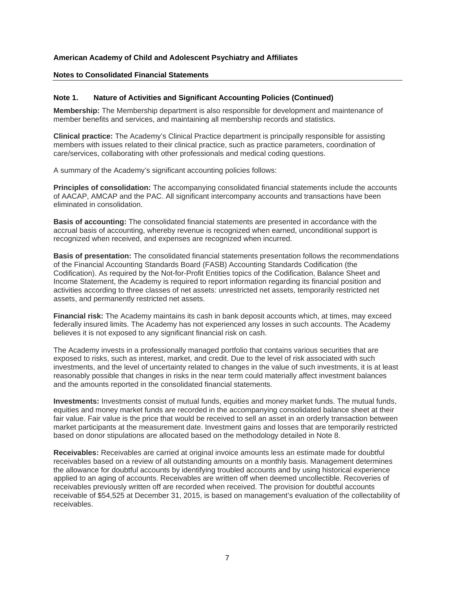#### **Notes to Consolidated Financial Statements**

#### **Note 1. Nature of Activities and Significant Accounting Policies (Continued)**

**Membership:** The Membership department is also responsible for development and maintenance of member benefits and services, and maintaining all membership records and statistics.

**Clinical practice:** The Academy's Clinical Practice department is principally responsible for assisting members with issues related to their clinical practice, such as practice parameters, coordination of care/services, collaborating with other professionals and medical coding questions.

A summary of the Academy's significant accounting policies follows:

**Principles of consolidation:** The accompanying consolidated financial statements include the accounts of AACAP, AMCAP and the PAC. All significant intercompany accounts and transactions have been eliminated in consolidation.

**Basis of accounting:** The consolidated financial statements are presented in accordance with the accrual basis of accounting, whereby revenue is recognized when earned, unconditional support is recognized when received, and expenses are recognized when incurred.

**Basis of presentation:** The consolidated financial statements presentation follows the recommendations of the Financial Accounting Standards Board (FASB) Accounting Standards Codification (the Codification). As required by the Not-for-Profit Entities topics of the Codification, Balance Sheet and Income Statement, the Academy is required to report information regarding its financial position and activities according to three classes of net assets: unrestricted net assets, temporarily restricted net assets, and permanently restricted net assets.

**Financial risk:** The Academy maintains its cash in bank deposit accounts which, at times, may exceed federally insured limits. The Academy has not experienced any losses in such accounts. The Academy believes it is not exposed to any significant financial risk on cash.

The Academy invests in a professionally managed portfolio that contains various securities that are exposed to risks, such as interest, market, and credit. Due to the level of risk associated with such investments, and the level of uncertainty related to changes in the value of such investments, it is at least reasonably possible that changes in risks in the near term could materially affect investment balances and the amounts reported in the consolidated financial statements.

**Investments:** Investments consist of mutual funds, equities and money market funds. The mutual funds, equities and money market funds are recorded in the accompanying consolidated balance sheet at their fair value. Fair value is the price that would be received to sell an asset in an orderly transaction between market participants at the measurement date. Investment gains and losses that are temporarily restricted based on donor stipulations are allocated based on the methodology detailed in Note 8.

**Receivables:** Receivables are carried at original invoice amounts less an estimate made for doubtful receivables based on a review of all outstanding amounts on a monthly basis. Management determines the allowance for doubtful accounts by identifying troubled accounts and by using historical experience applied to an aging of accounts. Receivables are written off when deemed uncollectible. Recoveries of receivables previously written off are recorded when received. The provision for doubtful accounts receivable of \$54,525 at December 31, 2015, is based on management's evaluation of the collectability of receivables.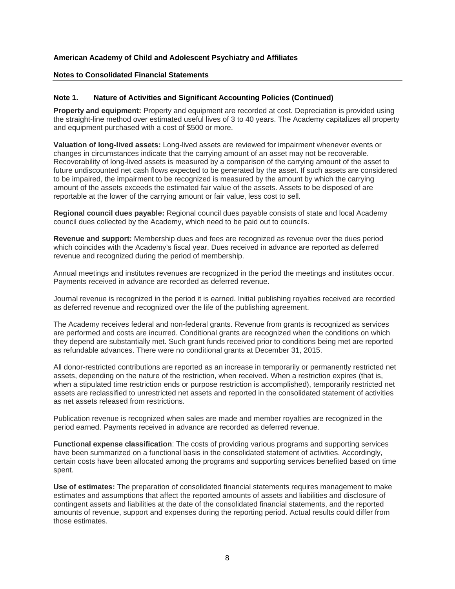#### **Notes to Consolidated Financial Statements**

#### **Note 1. Nature of Activities and Significant Accounting Policies (Continued)**

**Property and equipment:** Property and equipment are recorded at cost. Depreciation is provided using the straight-line method over estimated useful lives of 3 to 40 years. The Academy capitalizes all property and equipment purchased with a cost of \$500 or more.

**Valuation of long-lived assets:** Long-lived assets are reviewed for impairment whenever events or changes in circumstances indicate that the carrying amount of an asset may not be recoverable. Recoverability of long-lived assets is measured by a comparison of the carrying amount of the asset to future undiscounted net cash flows expected to be generated by the asset. If such assets are considered to be impaired, the impairment to be recognized is measured by the amount by which the carrying amount of the assets exceeds the estimated fair value of the assets. Assets to be disposed of are reportable at the lower of the carrying amount or fair value, less cost to sell.

**Regional council dues payable:** Regional council dues payable consists of state and local Academy council dues collected by the Academy, which need to be paid out to councils.

**Revenue and support:** Membership dues and fees are recognized as revenue over the dues period which coincides with the Academy's fiscal year. Dues received in advance are reported as deferred revenue and recognized during the period of membership.

Annual meetings and institutes revenues are recognized in the period the meetings and institutes occur. Payments received in advance are recorded as deferred revenue.

Journal revenue is recognized in the period it is earned. Initial publishing royalties received are recorded as deferred revenue and recognized over the life of the publishing agreement.

The Academy receives federal and non-federal grants. Revenue from grants is recognized as services are performed and costs are incurred. Conditional grants are recognized when the conditions on which they depend are substantially met. Such grant funds received prior to conditions being met are reported as refundable advances. There were no conditional grants at December 31, 2015.

All donor-restricted contributions are reported as an increase in temporarily or permanently restricted net assets, depending on the nature of the restriction, when received. When a restriction expires (that is, when a stipulated time restriction ends or purpose restriction is accomplished), temporarily restricted net assets are reclassified to unrestricted net assets and reported in the consolidated statement of activities as net assets released from restrictions.

Publication revenue is recognized when sales are made and member royalties are recognized in the period earned. Payments received in advance are recorded as deferred revenue.

**Functional expense classification**: The costs of providing various programs and supporting services have been summarized on a functional basis in the consolidated statement of activities. Accordingly, certain costs have been allocated among the programs and supporting services benefited based on time spent.

**Use of estimates:** The preparation of consolidated financial statements requires management to make estimates and assumptions that affect the reported amounts of assets and liabilities and disclosure of contingent assets and liabilities at the date of the consolidated financial statements, and the reported amounts of revenue, support and expenses during the reporting period. Actual results could differ from those estimates.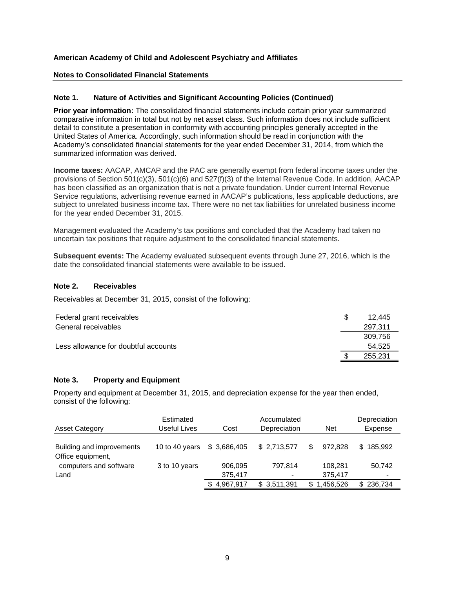#### **Notes to Consolidated Financial Statements**

#### **Note 1. Nature of Activities and Significant Accounting Policies (Continued)**

**Prior year information:** The consolidated financial statements include certain prior year summarized comparative information in total but not by net asset class. Such information does not include sufficient detail to constitute a presentation in conformity with accounting principles generally accepted in the United States of America. Accordingly, such information should be read in conjunction with the Academy's consolidated financial statements for the year ended December 31, 2014, from which the summarized information was derived.

**Income taxes:** AACAP, AMCAP and the PAC are generally exempt from federal income taxes under the provisions of Section 501(c)(3), 501(c)(6) and 527(f)(3) of the Internal Revenue Code. In addition, AACAP has been classified as an organization that is not a private foundation. Under current Internal Revenue Service regulations, advertising revenue earned in AACAP's publications, less applicable deductions, are subject to unrelated business income tax. There were no net tax liabilities for unrelated business income for the year ended December 31, 2015.

Management evaluated the Academy's tax positions and concluded that the Academy had taken no uncertain tax positions that require adjustment to the consolidated financial statements.

**Subsequent events:** The Academy evaluated subsequent events through June 27, 2016, which is the date the consolidated financial statements were available to be issued.

#### **Note 2. Receivables**

Receivables at December 31, 2015, consist of the following:

| Federal grant receivables            | 12.445  |
|--------------------------------------|---------|
| General receivables                  | 297,311 |
|                                      | 309.756 |
| Less allowance for doubtful accounts | 54.525  |
|                                      | 255,231 |

# **Note 3. Property and Equipment**

Property and equipment at December 31, 2015, and depreciation expense for the year then ended, consist of the following:

| <b>Asset Category</b>                          | Estimated<br>Useful Lives | Cost         | Accumulated<br>Depreciation | <b>Net</b>       | Depreciation<br>Expense |
|------------------------------------------------|---------------------------|--------------|-----------------------------|------------------|-------------------------|
| Building and improvements<br>Office equipment, | 10 to 40 years            | \$ 3,686,405 | \$2,713,577                 | 972.828<br>\$    | \$185.992               |
| computers and software                         | 3 to 10 years             | 906.095      | 797.814                     | 108.281          | 50.742                  |
| Land                                           |                           | 375,417      | $\,$                        | 375,417          |                         |
|                                                |                           | 4,967,917    | \$3,511,391                 | 1,456,526<br>\$. | \$<br>236,734           |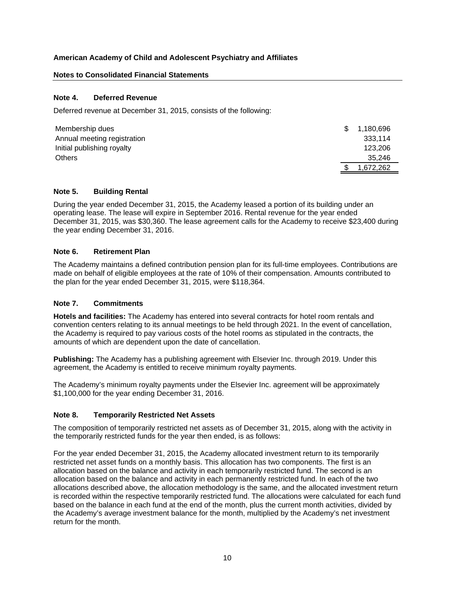#### **Notes to Consolidated Financial Statements**

#### **Note 4. Deferred Revenue**

Deferred revenue at December 31, 2015, consists of the following:

| Membership dues             | \$<br>1,180,696 |
|-----------------------------|-----------------|
| Annual meeting registration | 333.114         |
| Initial publishing royalty  | 123,206         |
| <b>Others</b>               | 35.246          |
|                             | 1,672,262       |

# **Note 5. Building Rental**

During the year ended December 31, 2015, the Academy leased a portion of its building under an operating lease. The lease will expire in September 2016. Rental revenue for the year ended December 31, 2015, was \$30,360. The lease agreement calls for the Academy to receive \$23,400 during the year ending December 31, 2016.

# **Note 6. Retirement Plan**

The Academy maintains a defined contribution pension plan for its full-time employees. Contributions are made on behalf of eligible employees at the rate of 10% of their compensation. Amounts contributed to the plan for the year ended December 31, 2015, were \$118,364.

# **Note 7. Commitments**

**Hotels and facilities:** The Academy has entered into several contracts for hotel room rentals and convention centers relating to its annual meetings to be held through 2021. In the event of cancellation, the Academy is required to pay various costs of the hotel rooms as stipulated in the contracts, the amounts of which are dependent upon the date of cancellation.

**Publishing:** The Academy has a publishing agreement with Elsevier Inc. through 2019. Under this agreement, the Academy is entitled to receive minimum royalty payments.

The Academy's minimum royalty payments under the Elsevier Inc. agreement will be approximately \$1,100,000 for the year ending December 31, 2016.

# **Note 8. Temporarily Restricted Net Assets**

The composition of temporarily restricted net assets as of December 31, 2015, along with the activity in the temporarily restricted funds for the year then ended, is as follows:

For the year ended December 31, 2015, the Academy allocated investment return to its temporarily restricted net asset funds on a monthly basis. This allocation has two components. The first is an allocation based on the balance and activity in each temporarily restricted fund. The second is an allocation based on the balance and activity in each permanently restricted fund. In each of the two allocations described above, the allocation methodology is the same, and the allocated investment return is recorded within the respective temporarily restricted fund. The allocations were calculated for each fund based on the balance in each fund at the end of the month, plus the current month activities, divided by the Academy's average investment balance for the month, multiplied by the Academy's net investment return for the month.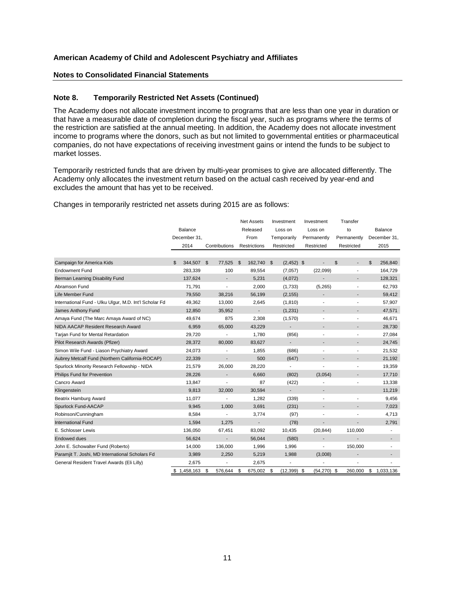# **Notes to Consolidated Financial Statements**

#### **Note 8. Temporarily Restricted Net Assets (Continued)**

The Academy does not allocate investment income to programs that are less than one year in duration or that have a measurable date of completion during the fiscal year, such as programs where the terms of the restriction are satisfied at the annual meeting. In addition, the Academy does not allocate investment income to programs where the donors, such as but not limited to governmental entities or pharmaceutical companies, do not have expectations of receiving investment gains or intend the funds to be subject to market losses.

Temporarily restricted funds that are driven by multi-year promises to give are allocated differently. The Academy only allocates the investment return based on the actual cash received by year-end and excludes the amount that has yet to be received.

Changes in temporarily restricted net assets during 2015 are as follows:

|                                                        |                 |                |               | <b>Net Assets</b> |                | Investment  |                          | Investment               | Transfer                     |                          |  |
|--------------------------------------------------------|-----------------|----------------|---------------|-------------------|----------------|-------------|--------------------------|--------------------------|------------------------------|--------------------------|--|
|                                                        | Balance         |                |               |                   | Released       | Loss on     |                          | Loss on                  | to                           | Balance                  |  |
|                                                        | December 31,    |                |               | From              |                | Temporarily | Permanently              | Permanently              | December 31,                 |                          |  |
|                                                        | 2014            |                | Contributions |                   | Restrictions   |             | Restricted               | Restricted               | Restricted                   | 2015                     |  |
|                                                        |                 |                |               |                   |                |             |                          |                          |                              |                          |  |
| Campaign for America Kids                              | \$<br>344.507   | $\mathfrak{L}$ | 77.525        | \$                | 162,740 \$     |             | $(2,452)$ \$             |                          | $\mathfrak{s}$               | $\mathbb{S}$<br>256,840  |  |
| <b>Endowment Fund</b>                                  | 283,339         |                | 100           |                   | 89,554         |             | (7,057)                  | (22,099)                 |                              | 164,729                  |  |
| Berman Learning Disability Fund                        | 137,624         |                |               |                   | 5,231          |             | (4,072)                  |                          | ÷,                           | 128,321                  |  |
| Abramson Fund                                          | 71,791          |                |               |                   | 2,000          |             | (1,733)                  | (5,265)                  | $\overline{a}$               | 62,793                   |  |
| Life Member Fund                                       | 79,550          |                | 38,216        |                   | 56,199         |             | (2, 155)                 |                          |                              | 59,412                   |  |
| International Fund - Ulku Ulgur, M.D. Int'l Scholar Fd | 49,362          |                | 13,000        |                   | 2,645          |             | (1, 810)                 | $\overline{\phantom{a}}$ | $\blacksquare$               | 57,907                   |  |
| James Anthony Fund                                     | 12,850          |                | 35,952        |                   |                |             | (1,231)                  |                          |                              | 47,571                   |  |
| Amaya Fund (The Marc Amaya Award of NC)                | 49,674          |                | 875           |                   | 2,308          |             | (1,570)                  |                          | $\blacksquare$               | 46,671                   |  |
| NIDA AACAP Resident Research Award                     | 6,959           |                | 65,000        |                   | 43,229         |             | $\blacksquare$           |                          |                              | 28,730                   |  |
| Tarjan Fund for Mental Retardation                     | 29,720          |                |               |                   | 1,780          |             | (856)                    |                          | Ĭ.                           | 27,084                   |  |
| Pilot Research Awards (Pfizer)                         | 28,372          |                | 80,000        |                   | 83,627         |             |                          |                          | $\qquad \qquad \blacksquare$ | 24,745                   |  |
| Simon Wile Fund - Liason Psychiatry Award              | 24,073          |                |               |                   | 1,855          |             | (686)                    |                          |                              | 21,532                   |  |
| Aubrey Metcalf Fund (Northern California-ROCAP)        | 22,339          |                |               |                   | 500            |             | (647)                    |                          |                              | 21,192                   |  |
| Spurlock Minority Research Fellowship - NIDA           | 21,579          |                | 26,000        |                   | 28,220         |             |                          |                          | $\overline{a}$               | 19,359                   |  |
| Philips Fund for Prevention                            | 28,226          |                |               |                   | 6,660          |             | (802)                    | (3,054)                  |                              | 17,710                   |  |
| Cancro Award                                           | 13,847          |                |               |                   | 87             |             | (422)                    |                          | ÷                            | 13,338                   |  |
| Klingenstein                                           | 9,813           |                | 32,000        |                   | 30,594         |             | $\overline{\phantom{a}}$ |                          |                              | 11,219                   |  |
| Beatrix Hamburg Award                                  | 11,077          |                |               |                   | 1,282          |             | (339)                    |                          |                              | 9,456                    |  |
| Spurlock Fund-AACAP                                    | 9.945           |                | 1.000         |                   | 3,691          |             | (231)                    |                          |                              | 7,023                    |  |
| Robinson/Cunningham                                    | 8,584           |                |               |                   | 3,774          |             | (97)                     |                          |                              | 4,713                    |  |
| <b>International Fund</b>                              | 1,594           |                | 1,275         |                   | $\blacksquare$ |             | (78)                     |                          |                              | 2,791                    |  |
| E. Schlosser Lewis                                     | 136,050         |                | 67,451        |                   | 83,092         |             | 10,435                   | (20, 844)                | 110,000                      | $\overline{\phantom{a}}$ |  |
| <b>Endowed dues</b>                                    | 56,624          |                |               |                   | 56,044         |             | (580)                    |                          |                              | $\overline{\phantom{a}}$ |  |
| John E. Schowalter Fund (Roberto)                      | 14,000          |                | 136,000       |                   | 1,996          |             | 1,996                    |                          | 150,000                      |                          |  |
| Paramjit T. Joshi, MD International Scholars Fd        | 3,989           |                | 2,250         |                   | 5,219          |             | 1,988                    | (3,008)                  |                              |                          |  |
| General Resident Travel Awards (Eli Lilly)             | 2,675           |                |               |                   | 2,675          |             | $\overline{\phantom{a}}$ |                          |                              |                          |  |
|                                                        | \$<br>1,458,163 | \$             | 576,644       | \$                | 675,002        | \$          | $(12,399)$ \$            | $(54,270)$ \$            | 260,000                      | \$<br>1,033,136          |  |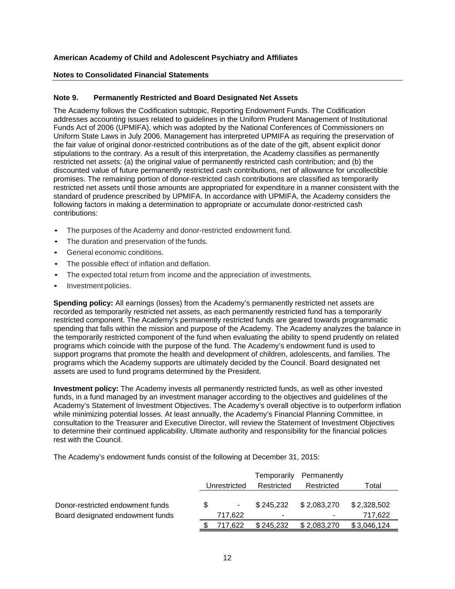#### **Notes to Consolidated Financial Statements**

#### **Note 9. Permanently Restricted and Board Designated Net Assets**

The Academy follows the Codification subtopic, Reporting Endowment Funds. The Codification addresses accounting issues related to guidelines in the Uniform Prudent Management of Institutional Funds Act of 2006 (UPMIFA), which was adopted by the National Conferences of Commissioners on Uniform State Laws in July 2006. Management has interpreted UPMIFA as requiring the preservation of the fair value of original donor-restricted contributions as of the date of the gift, absent explicit donor stipulations to the contrary. As a result of this interpretation, the Academy classifies as permanently restricted net assets: (a) the original value of permanently restricted cash contribution; and (b) the discounted value of future permanently restricted cash contributions, net of allowance for uncollectible promises. The remaining portion of donor-restricted cash contributions are classified as temporarily restricted net assets until those amounts are appropriated for expenditure in a manner consistent with the standard of prudence prescribed by UPMIFA. In accordance with UPMIFA, the Academy considers the following factors in making a determination to appropriate or accumulate donor-restricted cash contributions:

- The purposes of the Academy and donor-restricted endowment fund.
- The duration and preservation of the funds.
- General economic conditions.
- The possible effect of inflation and deflation.
- The expected total return from income and the appreciation of investments.
- Investment policies.

**Spending policy:** All earnings (losses) from the Academy's permanently restricted net assets are recorded as temporarily restricted net assets, as each permanently restricted fund has a temporarily restricted component. The Academy's permanently restricted funds are geared towards programmatic spending that falls within the mission and purpose of the Academy. The Academy analyzes the balance in the temporarily restricted component of the fund when evaluating the ability to spend prudently on related programs which coincide with the purpose of the fund. The Academy's endowment fund is used to support programs that promote the health and development of children, adolescents, and families. The programs which the Academy supports are ultimately decided by the Council. Board designated net assets are used to fund programs determined by the President.

**Investment policy:** The Academy invests all permanently restricted funds, as well as other invested funds, in a fund managed by an investment manager according to the objectives and guidelines of the Academy's Statement of Investment Objectives. The Academy's overall objective is to outperform inflation while minimizing potential losses. At least annually, the Academy's Financial Planning Committee, in consultation to the Treasurer and Executive Director, will review the Statement of Investment Objectives to determine their continued applicability. Ultimate authority and responsibility for the financial policies rest with the Council.

The Academy's endowment funds consist of the following at December 31, 2015:

|                                  |              |         |            | Temporarily Permanently |             |
|----------------------------------|--------------|---------|------------|-------------------------|-------------|
|                                  | Unrestricted |         | Restricted | Restricted              | Total       |
|                                  |              |         |            |                         |             |
| Donor-restricted endowment funds |              |         | \$245,232  | \$2,083,270             | \$2,328,502 |
| Board designated endowment funds |              | 717.622 | $\,$       |                         | 717.622     |
|                                  |              | 717.622 | \$245,232  | \$2,083,270             | \$3,046,124 |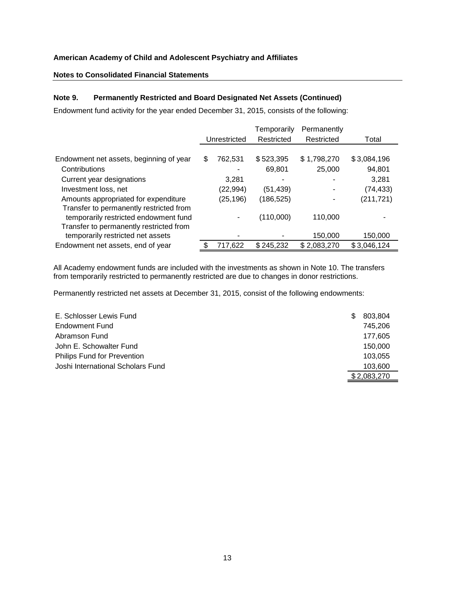#### **Notes to Consolidated Financial Statements**

## **Note 9. Permanently Restricted and Board Designated Net Assets (Continued)**

Endowment fund activity for the year ended December 31, 2015, consists of the following:

|                                         |   |              | Temporarily | Permanently |             |
|-----------------------------------------|---|--------------|-------------|-------------|-------------|
|                                         |   | Unrestricted | Restricted  | Restricted  | Total       |
|                                         |   |              |             |             |             |
| Endowment net assets, beginning of year | S | 762,531      | \$523,395   | \$1,798,270 | \$3,084,196 |
| Contributions                           |   |              | 69,801      | 25,000      | 94.801      |
| Current year designations               |   | 3.281        |             |             | 3.281       |
| Investment loss, net                    |   | (22, 994)    | (51, 439)   |             | (74, 433)   |
| Amounts appropriated for expenditure    |   | (25, 196)    | (186, 525)  |             | (211, 721)  |
| Transfer to permanently restricted from |   |              |             |             |             |
| temporarily restricted endowment fund   |   |              | (110,000)   | 110,000     |             |
| Transfer to permanently restricted from |   |              |             |             |             |
| temporarily restricted net assets       |   |              |             | 150,000     | 150,000     |
| Endowment net assets, end of year       |   | 717,622      | \$245,232   | \$2,083,270 | \$3,046,124 |

All Academy endowment funds are included with the investments as shown in Note 10. The transfers from temporarily restricted to permanently restricted are due to changes in donor restrictions.

Permanently restricted net assets at December 31, 2015, consist of the following endowments:

| E. Schlosser Lewis Fund           | S. | 803,804     |
|-----------------------------------|----|-------------|
| <b>Endowment Fund</b>             |    | 745.206     |
| Abramson Fund                     |    | 177,605     |
| John E. Schowalter Fund           |    | 150,000     |
| Philips Fund for Prevention       |    | 103.055     |
| Joshi International Scholars Fund |    | 103,600     |
|                                   |    | \$2,083,270 |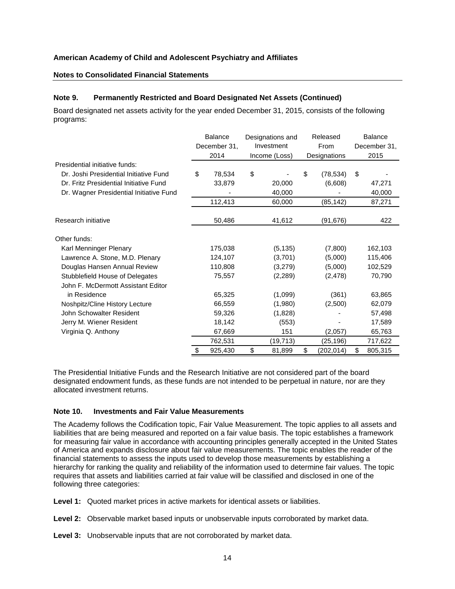#### **Notes to Consolidated Financial Statements**

## **Note 9. Permanently Restricted and Board Designated Net Assets (Continued)**

Board designated net assets activity for the year ended December 31, 2015, consists of the following programs:

|                                         | <b>Balance</b><br>December 31,<br>2014 | Designations and<br>Investment<br>Income (Loss) |           | Released<br>From<br>Designations |            | <b>Balance</b><br>December 31,<br>2015 |
|-----------------------------------------|----------------------------------------|-------------------------------------------------|-----------|----------------------------------|------------|----------------------------------------|
| Presidential initiative funds:          |                                        |                                                 |           |                                  |            |                                        |
| Dr. Joshi Presidential Initiative Fund  | \$<br>78,534                           | \$                                              |           | \$                               | (78, 534)  | \$                                     |
| Dr. Fritz Presidential Initiative Fund  | 33,879                                 |                                                 | 20,000    |                                  | (6,608)    | 47,271                                 |
| Dr. Wagner Presidential Initiative Fund |                                        |                                                 | 40,000    |                                  |            | 40,000                                 |
|                                         | 112,413                                |                                                 | 60,000    |                                  | (85, 142)  | 87,271                                 |
| Research initiative                     | 50,486                                 |                                                 | 41,612    |                                  | (91, 676)  | 422                                    |
| Other funds:                            |                                        |                                                 |           |                                  |            |                                        |
| Karl Menninger Plenary                  | 175,038                                |                                                 | (5, 135)  |                                  | (7,800)    | 162,103                                |
| Lawrence A. Stone, M.D. Plenary         | 124,107                                |                                                 | (3,701)   |                                  | (5,000)    | 115,406                                |
| Douglas Hansen Annual Review            | 110,808                                |                                                 | (3,279)   |                                  | (5,000)    | 102,529                                |
| Stubblefield House of Delegates         | 75,557                                 |                                                 | (2,289)   |                                  | (2, 478)   | 70,790                                 |
| John F. McDermott Assistant Editor      |                                        |                                                 |           |                                  |            |                                        |
| in Residence                            | 65,325                                 |                                                 | (1,099)   |                                  | (361)      | 63,865                                 |
| Noshpitz/Cline History Lecture          | 66,559                                 |                                                 | (1,980)   |                                  | (2,500)    | 62,079                                 |
| John Schowalter Resident                | 59,326                                 |                                                 | (1,828)   |                                  |            | 57,498                                 |
| Jerry M. Wiener Resident                | 18,142                                 |                                                 | (553)     |                                  |            | 17,589                                 |
| Virginia Q. Anthony                     | 67,669                                 |                                                 | 151       |                                  | (2,057)    | 65,763                                 |
|                                         | 762,531                                |                                                 | (19, 713) |                                  | (25, 196)  | 717,622                                |
|                                         | \$<br>925,430                          | \$                                              | 81,899    | \$                               | (202, 014) | \$<br>805,315                          |

The Presidential Initiative Funds and the Research Initiative are not considered part of the board designated endowment funds, as these funds are not intended to be perpetual in nature, nor are they allocated investment returns.

#### **Note 10. Investments and Fair Value Measurements**

The Academy follows the Codification topic, Fair Value Measurement. The topic applies to all assets and liabilities that are being measured and reported on a fair value basis. The topic establishes a framework for measuring fair value in accordance with accounting principles generally accepted in the United States of America and expands disclosure about fair value measurements. The topic enables the reader of the financial statements to assess the inputs used to develop those measurements by establishing a hierarchy for ranking the quality and reliability of the information used to determine fair values. The topic requires that assets and liabilities carried at fair value will be classified and disclosed in one of the following three categories:

**Level 1:** Quoted market prices in active markets for identical assets or liabilities.

**Level 2:** Observable market based inputs or unobservable inputs corroborated by market data.

**Level 3:** Unobservable inputs that are not corroborated by market data.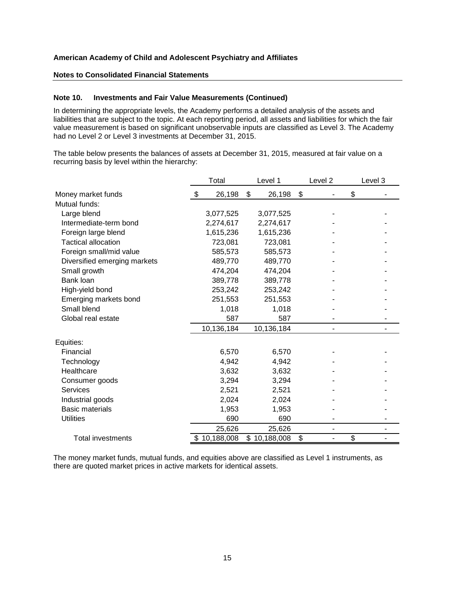#### **Notes to Consolidated Financial Statements**

#### **Note 10. Investments and Fair Value Measurements (Continued)**

In determining the appropriate levels, the Academy performs a detailed analysis of the assets and liabilities that are subject to the topic. At each reporting period, all assets and liabilities for which the fair value measurement is based on significant unobservable inputs are classified as Level 3. The Academy had no Level 2 or Level 3 investments at December 31, 2015.

The table below presents the balances of assets at December 31, 2015, measured at fair value on a recurring basis by level within the hierarchy:

|                              | Total        | Level 1      | Level <sub>2</sub>                 | Level 3 |
|------------------------------|--------------|--------------|------------------------------------|---------|
| Money market funds           | \$<br>26,198 | \$<br>26,198 | \$<br>$\overline{\phantom{a}}$     | \$      |
| Mutual funds:                |              |              |                                    |         |
| Large blend                  | 3,077,525    | 3,077,525    |                                    |         |
| Intermediate-term bond       | 2,274,617    | 2,274,617    |                                    |         |
| Foreign large blend          | 1,615,236    | 1,615,236    |                                    |         |
| <b>Tactical allocation</b>   | 723,081      | 723,081      |                                    |         |
| Foreign small/mid value      | 585,573      | 585,573      |                                    |         |
| Diversified emerging markets | 489,770      | 489,770      |                                    |         |
| Small growth                 | 474,204      | 474,204      |                                    |         |
| Bank loan                    | 389,778      | 389,778      |                                    |         |
| High-yield bond              | 253,242      | 253,242      |                                    |         |
| Emerging markets bond        | 251,553      | 251,553      |                                    |         |
| Small blend                  | 1,018        | 1,018        |                                    |         |
| Global real estate           | 587          | 587          |                                    |         |
|                              | 10,136,184   | 10,136,184   | $\overline{\phantom{a}}$           |         |
| Equities:                    |              |              |                                    |         |
| Financial                    | 6,570        | 6,570        |                                    |         |
| Technology                   | 4,942        | 4,942        |                                    |         |
| Healthcare                   | 3,632        | 3,632        |                                    |         |
| Consumer goods               | 3,294        | 3,294        |                                    |         |
| <b>Services</b>              | 2,521        | 2,521        |                                    |         |
| Industrial goods             | 2,024        | 2,024        |                                    |         |
| <b>Basic materials</b>       | 1,953        | 1,953        |                                    |         |
| <b>Utilities</b>             | 690          | 690          |                                    |         |
|                              | 25,626       | 25,626       | $\qquad \qquad \blacksquare$       |         |
| <b>Total investments</b>     | \$10,188,008 | \$10,188,008 | \$<br>$\qquad \qquad \blacksquare$ | \$      |

The money market funds, mutual funds, and equities above are classified as Level 1 instruments, as there are quoted market prices in active markets for identical assets.